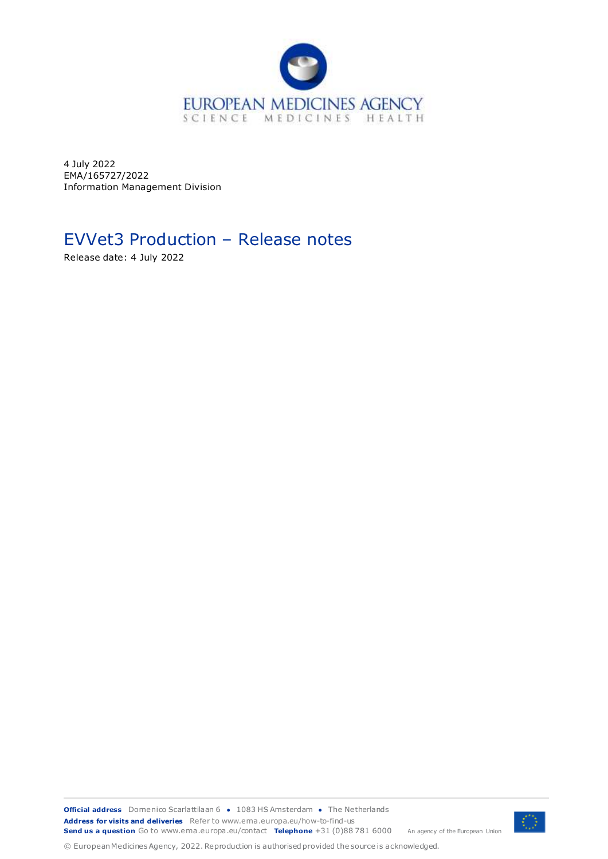

4 July 2022 EMA/165727/2022 Information Management Division

# EVVet3 Production – Release notes

Release date: 4 July 2022

**Official address** Domenico Scarlattilaan 6 **●** 1083 HS Amsterdam **●** The Netherlands An agency of the European Union **Address for visits and deliveries** Refer to www.ema.europa.eu/how-to-find-us **Send us a question** Go to www.ema.europa.eu/contact **Telephone** +31 (0)88 781 6000

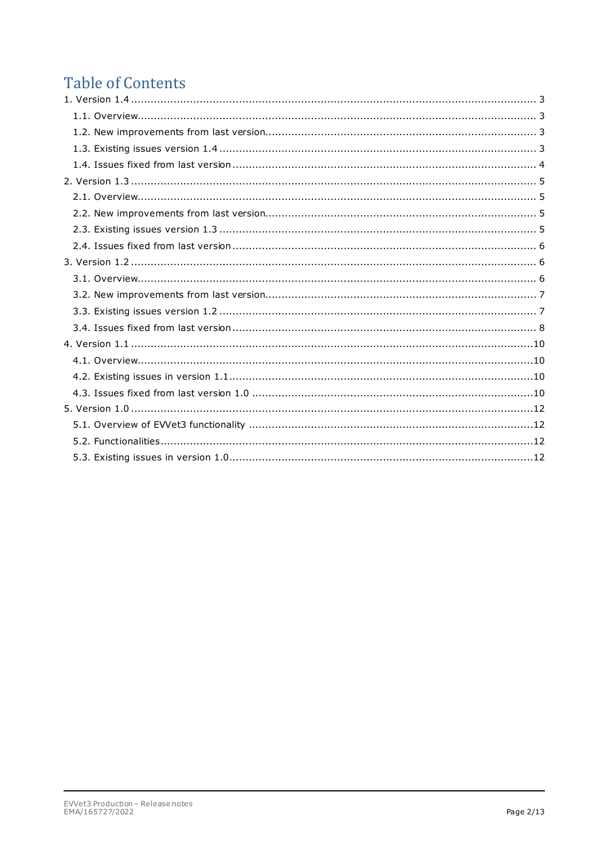# **Table of Contents**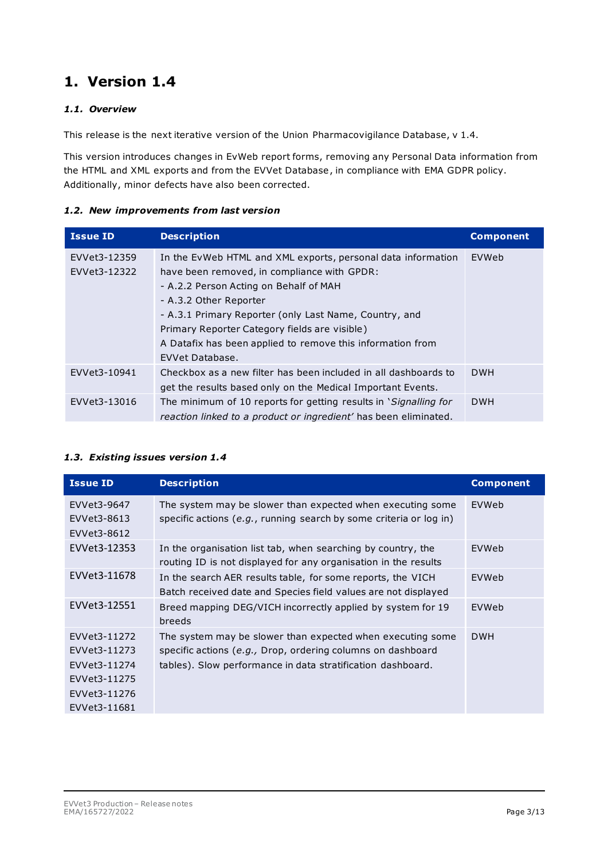## <span id="page-2-1"></span><span id="page-2-0"></span>*1.1. Overview*

This release is the next iterative version of the Union Pharmacovigilance Database, v 1.4.

This version introduces changes in EvWeb report forms, removing any Personal Data information from the HTML and XML exports and from the EVVet Database, in compliance with EMA GDPR policy. Additionally, minor defects have also been corrected.

### <span id="page-2-2"></span>*1.2. New improvements from last version*

| <b>Issue ID</b> | <b>Description</b>                                                     | <b>Component</b> |
|-----------------|------------------------------------------------------------------------|------------------|
| EVVet3-12359    | In the EvWeb HTML and XML exports, personal data information           | EVWeb            |
| EVVet3-12322    | have been removed, in compliance with GPDR:                            |                  |
|                 | - A.2.2 Person Acting on Behalf of MAH                                 |                  |
|                 | - A.3.2 Other Reporter                                                 |                  |
|                 | - A.3.1 Primary Reporter (only Last Name, Country, and                 |                  |
|                 | Primary Reporter Category fields are visible)                          |                  |
|                 | A Datafix has been applied to remove this information from             |                  |
|                 | EVVet Database.                                                        |                  |
| EVVet3-10941    | Checkbox as a new filter has been included in all dashboards to        | <b>DWH</b>       |
|                 | get the results based only on the Medical Important Events.            |                  |
| EVVet3-13016    | The minimum of 10 reports for getting results in <i>Signalling for</i> | <b>DWH</b>       |
|                 | reaction linked to a product or ingredient' has been eliminated.       |                  |

### <span id="page-2-3"></span>*1.3. Existing issues version 1.4*

| <b>Issue ID</b>                                                                              | <b>Description</b>                                                                                                                                                                       | <b>Component</b> |
|----------------------------------------------------------------------------------------------|------------------------------------------------------------------------------------------------------------------------------------------------------------------------------------------|------------------|
| EVVet3-9647<br>EVVet3-8613<br>EVVet3-8612                                                    | The system may be slower than expected when executing some<br>specific actions (e.g., running search by some criteria or log in)                                                         | EVWeb            |
| EVVet3-12353                                                                                 | In the organisation list tab, when searching by country, the<br>routing ID is not displayed for any organisation in the results                                                          | EVWeb            |
| EVVet3-11678                                                                                 | In the search AER results table, for some reports, the VICH<br>Batch received date and Species field values are not displayed                                                            | EVWeb            |
| EVVet3-12551                                                                                 | Breed mapping DEG/VICH incorrectly applied by system for 19<br>breeds                                                                                                                    | EVWeb            |
| EVVet3-11272<br>EVVet3-11273<br>EVVet3-11274<br>EVVet3-11275<br>EVVet3-11276<br>EVVet3-11681 | The system may be slower than expected when executing some<br>specific actions (e.g., Drop, ordering columns on dashboard<br>tables). Slow performance in data stratification dashboard. | <b>DWH</b>       |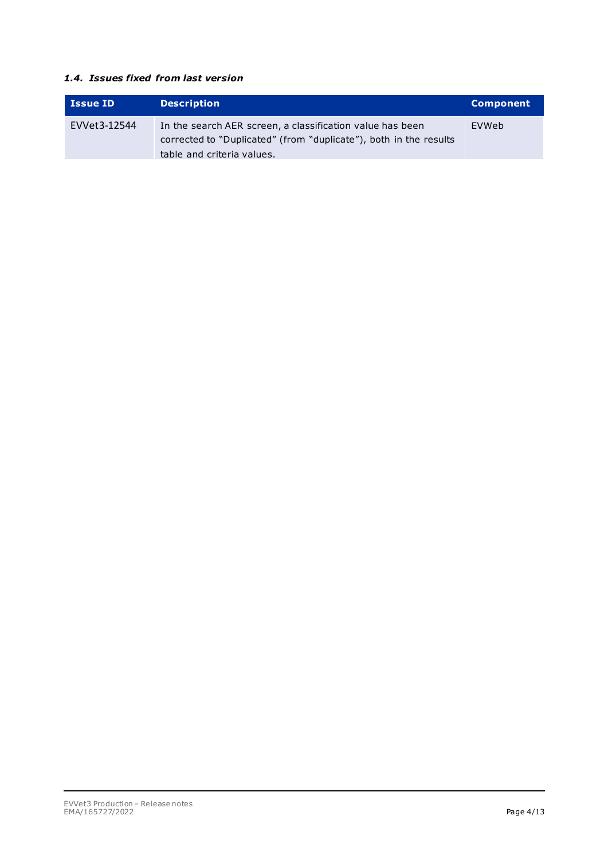#### <span id="page-3-0"></span>*1.4. Issues fixed from last version*

| <b>Issue ID</b> | <b>Description</b>                                                                                                                                           | <b>Component</b> |
|-----------------|--------------------------------------------------------------------------------------------------------------------------------------------------------------|------------------|
| EVVet3-12544    | In the search AER screen, a classification value has been<br>corrected to "Duplicated" (from "duplicate"), both in the results<br>table and criteria values. | EVWeb            |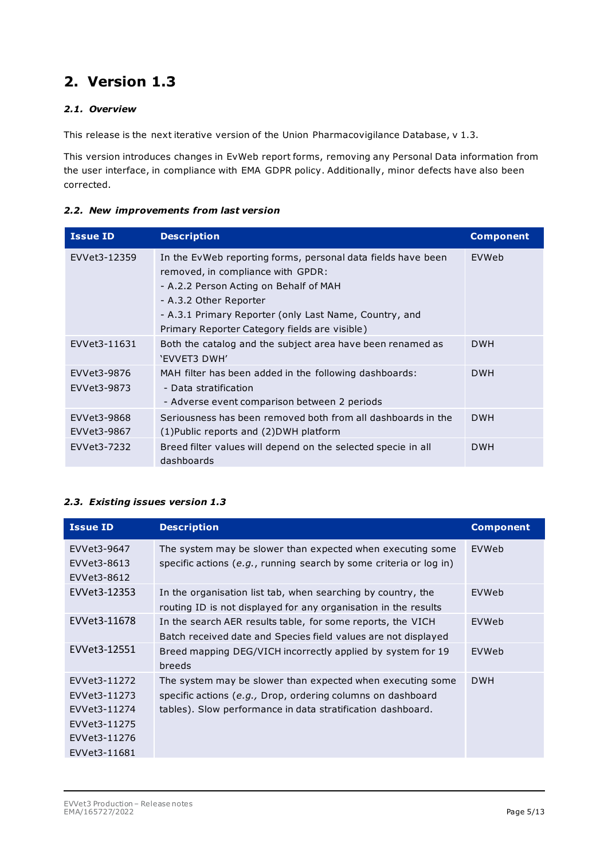## <span id="page-4-1"></span><span id="page-4-0"></span>*2.1. Overview*

This release is the next iterative version of the Union Pharmacovigilance Database, v 1.3.

This version introduces changes in EvWeb report forms, removing any Personal Data information from the user interface, in compliance with EMA GDPR policy. Additionally, minor defects have also been corrected.

#### <span id="page-4-2"></span>*2.2. New improvements from last version*

| <b>Issue ID</b>            | <b>Description</b>                                                                                                                                                                                                                                                               | <b>Component</b> |
|----------------------------|----------------------------------------------------------------------------------------------------------------------------------------------------------------------------------------------------------------------------------------------------------------------------------|------------------|
| EVVet3-12359               | In the EvWeb reporting forms, personal data fields have been<br>removed, in compliance with GPDR:<br>- A.2.2 Person Acting on Behalf of MAH<br>- A.3.2 Other Reporter<br>- A.3.1 Primary Reporter (only Last Name, Country, and<br>Primary Reporter Category fields are visible) | EVWeb            |
| EVVet3-11631               | Both the catalog and the subject area have been renamed as<br>'EVVET3 DWH'                                                                                                                                                                                                       | <b>DWH</b>       |
| EVVet3-9876<br>EVVet3-9873 | MAH filter has been added in the following dashboards:<br>- Data stratification<br>- Adverse event comparison between 2 periods                                                                                                                                                  | <b>DWH</b>       |
| EVVet3-9868<br>EVVet3-9867 | Seriousness has been removed both from all dashboards in the<br>$(1)$ Public reports and $(2)$ DWH platform                                                                                                                                                                      | <b>DWH</b>       |
| EVVet3-7232                | Breed filter values will depend on the selected specie in all<br>dashboards                                                                                                                                                                                                      | <b>DWH</b>       |

#### <span id="page-4-3"></span>*2.3. Existing issues version 1.3*

| <b>Issue ID</b>                                                                              | <b>Description</b>                                                                                                                                                                       | <b>Component</b> |
|----------------------------------------------------------------------------------------------|------------------------------------------------------------------------------------------------------------------------------------------------------------------------------------------|------------------|
| EVVet3-9647<br>EVVet3-8613<br>EVVet3-8612                                                    | The system may be slower than expected when executing some<br>specific actions (e.g., running search by some criteria or log in)                                                         | EVWeb            |
| EVVet3-12353                                                                                 | In the organisation list tab, when searching by country, the<br>routing ID is not displayed for any organisation in the results                                                          | EVWeb            |
| EVVet3-11678                                                                                 | In the search AER results table, for some reports, the VICH<br>Batch received date and Species field values are not displayed                                                            | EVWeb            |
| EVVet3-12551                                                                                 | Breed mapping DEG/VICH incorrectly applied by system for 19<br>breeds                                                                                                                    | EVWeb            |
| EVVet3-11272<br>EVVet3-11273<br>EVVet3-11274<br>EVVet3-11275<br>EVVet3-11276<br>EVVet3-11681 | The system may be slower than expected when executing some<br>specific actions (e.g., Drop, ordering columns on dashboard<br>tables). Slow performance in data stratification dashboard. | <b>DWH</b>       |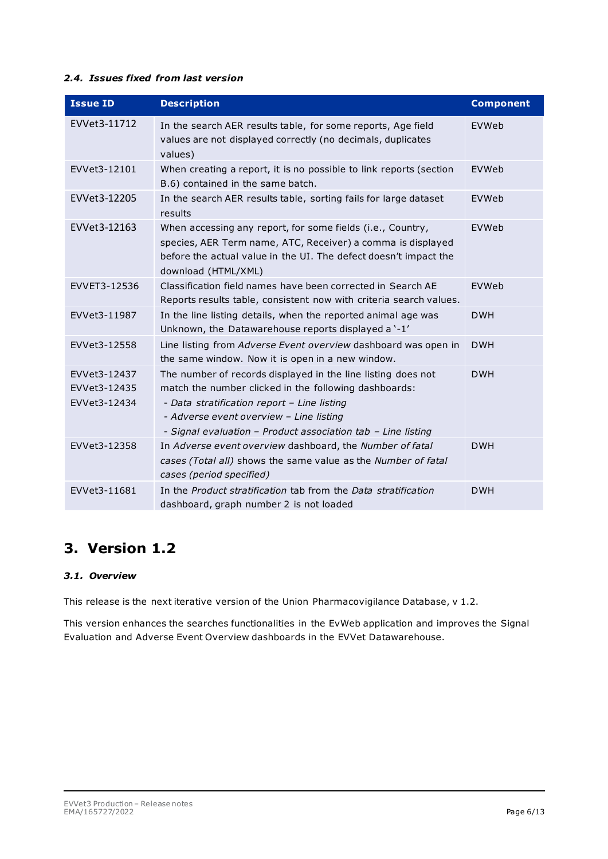#### <span id="page-5-0"></span>*2.4. Issues fixed from last version*

| <b>Issue ID</b>                              | <b>Description</b>                                                                                                                                                                                                                                                              | <b>Component</b> |
|----------------------------------------------|---------------------------------------------------------------------------------------------------------------------------------------------------------------------------------------------------------------------------------------------------------------------------------|------------------|
| EVVet3-11712                                 | In the search AER results table, for some reports, Age field<br>values are not displayed correctly (no decimals, duplicates<br>values)                                                                                                                                          | EVWeb            |
| EVVet3-12101                                 | When creating a report, it is no possible to link reports (section<br>B.6) contained in the same batch.                                                                                                                                                                         | EVWeb            |
| EVVet3-12205                                 | In the search AER results table, sorting fails for large dataset<br>results                                                                                                                                                                                                     | EVWeb            |
| EVVet3-12163                                 | When accessing any report, for some fields (i.e., Country,<br>species, AER Term name, ATC, Receiver) a comma is displayed<br>before the actual value in the UI. The defect doesn't impact the<br>download (HTML/XML)                                                            | EVWeb            |
| EVVET3-12536                                 | Classification field names have been corrected in Search AE<br>Reports results table, consistent now with criteria search values.                                                                                                                                               | EVWeb            |
| EVVet3-11987                                 | In the line listing details, when the reported animal age was<br>Unknown, the Datawarehouse reports displayed a '-1'                                                                                                                                                            | <b>DWH</b>       |
| EVVet3-12558                                 | Line listing from Adverse Event overview dashboard was open in<br>the same window. Now it is open in a new window.                                                                                                                                                              | <b>DWH</b>       |
| EVVet3-12437<br>EVVet3-12435<br>EVVet3-12434 | The number of records displayed in the line listing does not<br>match the number clicked in the following dashboards:<br>- Data stratification report - Line listing<br>- Adverse event overview - Line listing<br>- Signal evaluation - Product association tab - Line listing | <b>DWH</b>       |
| EVVet3-12358                                 | In Adverse event overview dashboard, the Number of fatal<br>cases (Total all) shows the same value as the Number of fatal<br>cases (period specified)                                                                                                                           | <b>DWH</b>       |
| EVVet3-11681                                 | In the Product stratification tab from the Data stratification<br>dashboard, graph number 2 is not loaded                                                                                                                                                                       | <b>DWH</b>       |

# <span id="page-5-1"></span>**3. Version 1.2**

#### <span id="page-5-2"></span>*3.1. Overview*

This release is the next iterative version of the Union Pharmacovigilance Database, v 1.2.

This version enhances the searches functionalities in the EvWeb application and improves the Signal Evaluation and Adverse Event Overview dashboards in the EVVet Datawarehouse.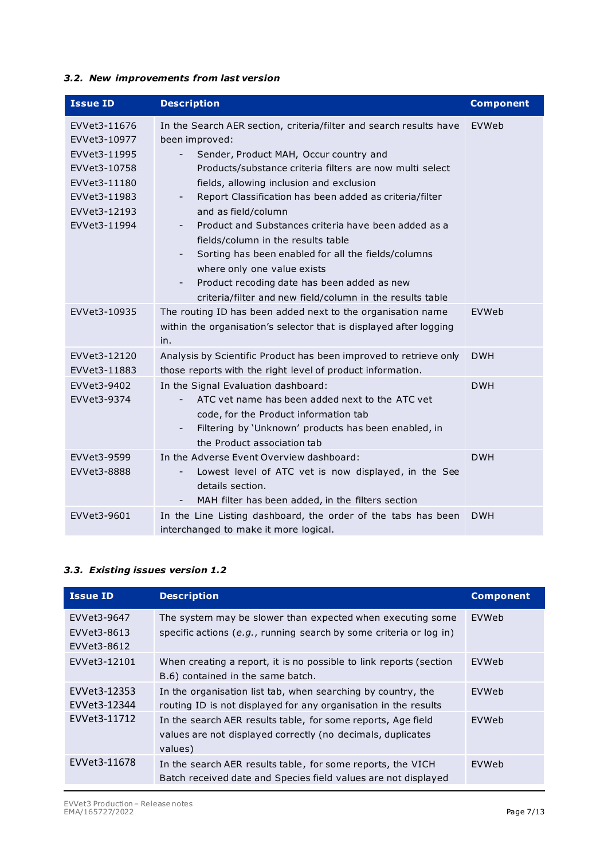#### <span id="page-6-0"></span>*3.2. New improvements from last version*

| <b>Issue ID</b>                                                                                                              | <b>Description</b>                                                                                                                                                                                                                                                                                                                                                                                                                                                                                                                                                                                                                                                  | <b>Component</b> |
|------------------------------------------------------------------------------------------------------------------------------|---------------------------------------------------------------------------------------------------------------------------------------------------------------------------------------------------------------------------------------------------------------------------------------------------------------------------------------------------------------------------------------------------------------------------------------------------------------------------------------------------------------------------------------------------------------------------------------------------------------------------------------------------------------------|------------------|
| EVVet3-11676<br>EVVet3-10977<br>EVVet3-11995<br>EVVet3-10758<br>EVVet3-11180<br>EVVet3-11983<br>EVVet3-12193<br>EVVet3-11994 | In the Search AER section, criteria/filter and search results have<br>been improved:<br>Sender, Product MAH, Occur country and<br>-<br>Products/substance criteria filters are now multi select<br>fields, allowing inclusion and exclusion<br>Report Classification has been added as criteria/filter<br>-<br>and as field/column<br>Product and Substances criteria have been added as a<br>-<br>fields/column in the results table<br>Sorting has been enabled for all the fields/columns<br>$\overline{\phantom{a}}$<br>where only one value exists<br>Product recoding date has been added as new<br>criteria/filter and new field/column in the results table | EVWeb            |
| EVVet3-10935                                                                                                                 | The routing ID has been added next to the organisation name<br>within the organisation's selector that is displayed after logging<br>in.                                                                                                                                                                                                                                                                                                                                                                                                                                                                                                                            | EVWeb            |
| EVVet3-12120<br>EVVet3-11883                                                                                                 | Analysis by Scientific Product has been improved to retrieve only<br>those reports with the right level of product information.                                                                                                                                                                                                                                                                                                                                                                                                                                                                                                                                     | <b>DWH</b>       |
| EVVet3-9402<br>EVVet3-9374                                                                                                   | In the Signal Evaluation dashboard:<br>ATC vet name has been added next to the ATC vet<br>code, for the Product information tab<br>Filtering by 'Unknown' products has been enabled, in<br>-<br>the Product association tab                                                                                                                                                                                                                                                                                                                                                                                                                                         | <b>DWH</b>       |
| EVVet3-9599<br>EVVet3-8888                                                                                                   | In the Adverse Event Overview dashboard:<br>Lowest level of ATC vet is now displayed, in the See<br>-<br>details section.<br>MAH filter has been added, in the filters section                                                                                                                                                                                                                                                                                                                                                                                                                                                                                      | <b>DWH</b>       |
| EVVet3-9601                                                                                                                  | In the Line Listing dashboard, the order of the tabs has been<br>interchanged to make it more logical.                                                                                                                                                                                                                                                                                                                                                                                                                                                                                                                                                              | <b>DWH</b>       |

#### <span id="page-6-1"></span>*3.3. Existing issues version 1.2*

| <b>Issue ID</b>                           | <b>Description</b>                                                                                                                     | <b>Component</b> |
|-------------------------------------------|----------------------------------------------------------------------------------------------------------------------------------------|------------------|
| EVVet3-9647<br>EVVet3-8613<br>EVVet3-8612 | The system may be slower than expected when executing some<br>specific actions (e.g., running search by some criteria or log in)       | EVWeb            |
| EVVet3-12101                              | When creating a report, it is no possible to link reports (section<br>B.6) contained in the same batch.                                | <b>EVWeb</b>     |
| EVVet3-12353<br>EVVet3-12344              | In the organisation list tab, when searching by country, the<br>routing ID is not displayed for any organisation in the results        | EVWeb            |
| EVVet3-11712                              | In the search AER results table, for some reports, Age field<br>values are not displayed correctly (no decimals, duplicates<br>values) | <b>EVWeb</b>     |
| EVVet3-11678                              | In the search AER results table, for some reports, the VICH<br>Batch received date and Species field values are not displayed          | <b>EVWeb</b>     |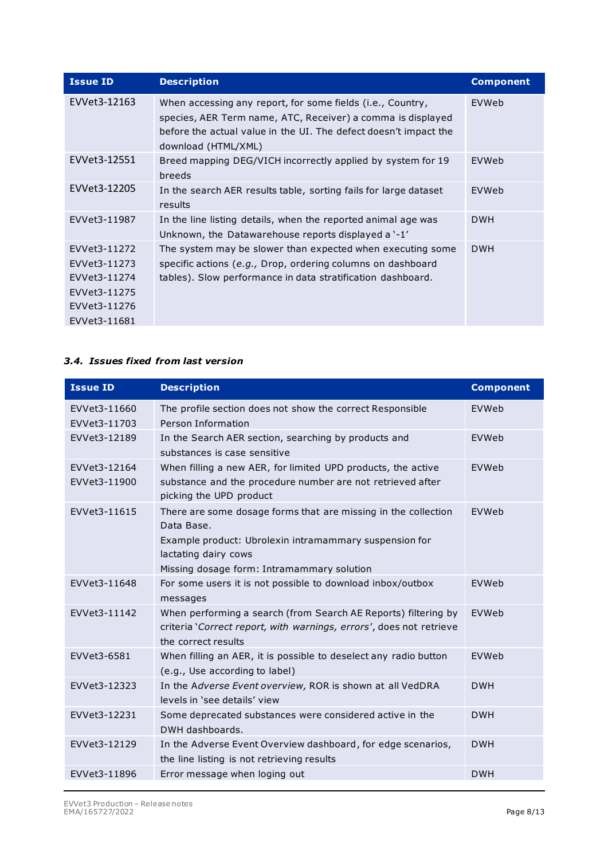| <b>Issue ID</b> | <b>Description</b>                                                                                                                                                                                                   | <b>Component</b> |
|-----------------|----------------------------------------------------------------------------------------------------------------------------------------------------------------------------------------------------------------------|------------------|
| EVVet3-12163    | When accessing any report, for some fields (i.e., Country,<br>species, AER Term name, ATC, Receiver) a comma is displayed<br>before the actual value in the UI. The defect doesn't impact the<br>download (HTML/XML) | EVWeb            |
| EVVet3-12551    | Breed mapping DEG/VICH incorrectly applied by system for 19<br>breeds                                                                                                                                                | EVWeb            |
| EVVet3-12205    | In the search AER results table, sorting fails for large dataset<br>results                                                                                                                                          | EVWeb            |
| EVVet3-11987    | In the line listing details, when the reported animal age was<br>Unknown, the Datawarehouse reports displayed a '-1'                                                                                                 | <b>DWH</b>       |
| EVVet3-11272    | The system may be slower than expected when executing some                                                                                                                                                           | <b>DWH</b>       |
| EVVet3-11273    | specific actions (e.g., Drop, ordering columns on dashboard                                                                                                                                                          |                  |
| EVVet3-11274    | tables). Slow performance in data stratification dashboard.                                                                                                                                                          |                  |
| EVVet3-11275    |                                                                                                                                                                                                                      |                  |
| EVVet3-11276    |                                                                                                                                                                                                                      |                  |
| EVVet3-11681    |                                                                                                                                                                                                                      |                  |

#### <span id="page-7-0"></span>*3.4. Issues fixed from last version*

| <b>Issue ID</b>              | <b>Description</b>                                                                                                                                                                                           | <b>Component</b> |
|------------------------------|--------------------------------------------------------------------------------------------------------------------------------------------------------------------------------------------------------------|------------------|
| EVVet3-11660<br>EVVet3-11703 | The profile section does not show the correct Responsible<br>Person Information                                                                                                                              | EVWeb            |
| EVVet3-12189                 | In the Search AER section, searching by products and<br>substances is case sensitive                                                                                                                         | EVWeb            |
| EVVet3-12164<br>EVVet3-11900 | When filling a new AER, for limited UPD products, the active<br>substance and the procedure number are not retrieved after<br>picking the UPD product                                                        | EVWeb            |
| EVVet3-11615                 | There are some dosage forms that are missing in the collection<br>Data Base.<br>Example product: Ubrolexin intramammary suspension for<br>lactating dairy cows<br>Missing dosage form: Intramammary solution | EVWeb            |
| EVVet3-11648                 | For some users it is not possible to download inbox/outbox<br>messages                                                                                                                                       | EVWeb            |
| EVVet3-11142                 | When performing a search (from Search AE Reports) filtering by<br>criteria 'Correct report, with warnings, errors', does not retrieve<br>the correct results                                                 | EVWeb            |
| EVVet3-6581                  | When filling an AER, it is possible to deselect any radio button<br>(e.g., Use according to label)                                                                                                           | <b>FVWeb</b>     |
| EVVet3-12323                 | In the Adverse Event overview, ROR is shown at all VedDRA<br>levels in 'see details' view                                                                                                                    | <b>DWH</b>       |
| EVVet3-12231                 | Some deprecated substances were considered active in the<br>DWH dashboards.                                                                                                                                  | <b>DWH</b>       |
| EVVet3-12129                 | In the Adverse Event Overview dashboard, for edge scenarios,<br>the line listing is not retrieving results                                                                                                   | <b>DWH</b>       |
| EVVet3-11896                 | Error message when loging out                                                                                                                                                                                | <b>DWH</b>       |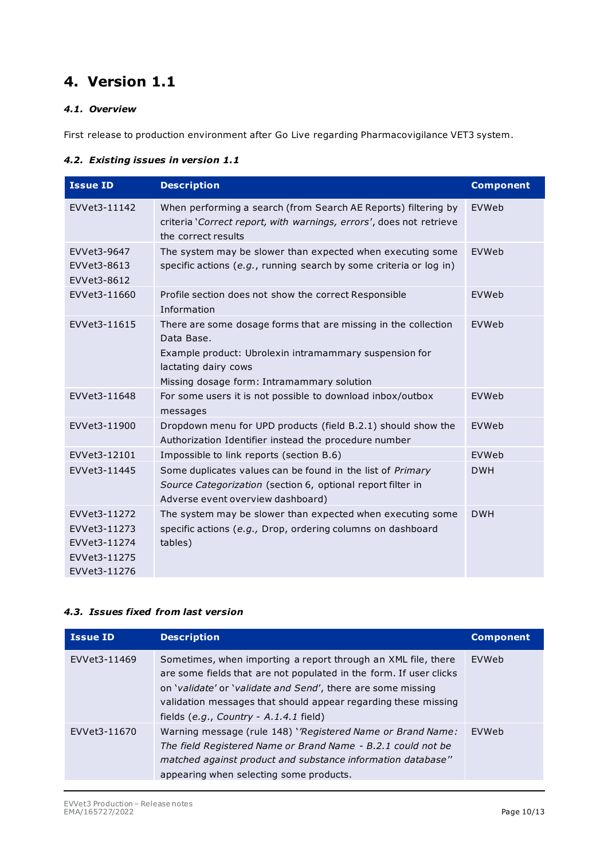# <span id="page-9-1"></span><span id="page-9-0"></span>*4.1. Overview*

First release to production environment after Go Live regarding Pharmacovigilance VET3 system.

#### <span id="page-9-2"></span>*4.2. Existing issues in version 1.1*

| <b>Issue ID</b>                                                              | <b>Description</b>                                                                                                                                                                                           | <b>Component</b> |
|------------------------------------------------------------------------------|--------------------------------------------------------------------------------------------------------------------------------------------------------------------------------------------------------------|------------------|
| EVVet3-11142                                                                 | When performing a search (from Search AE Reports) filtering by<br>criteria 'Correct report, with warnings, errors', does not retrieve<br>the correct results                                                 | EVWeb            |
| EVVet3-9647<br>EVVet3-8613<br>EVVet3-8612                                    | The system may be slower than expected when executing some<br>specific actions (e.g., running search by some criteria or log in)                                                                             | EVWeb            |
| EVVet3-11660                                                                 | Profile section does not show the correct Responsible<br>Information                                                                                                                                         | EVWeb            |
| EVVet3-11615                                                                 | There are some dosage forms that are missing in the collection<br>Data Base.<br>Example product: Ubrolexin intramammary suspension for<br>lactating dairy cows<br>Missing dosage form: Intramammary solution | EVWeb            |
| EVVet3-11648                                                                 | For some users it is not possible to download inbox/outbox<br>messages                                                                                                                                       | EVWeb            |
| EVVet3-11900                                                                 | Dropdown menu for UPD products (field B.2.1) should show the<br>Authorization Identifier instead the procedure number                                                                                        | EVWeb            |
| EVVet3-12101                                                                 | Impossible to link reports (section B.6)                                                                                                                                                                     | EVWeb            |
| EVVet3-11445                                                                 | Some duplicates values can be found in the list of Primary<br>Source Categorization (section 6, optional report filter in<br>Adverse event overview dashboard)                                               | <b>DWH</b>       |
| EVVet3-11272<br>EVVet3-11273<br>EVVet3-11274<br>EVVet3-11275<br>EVVet3-11276 | The system may be slower than expected when executing some<br>specific actions (e.g., Drop, ordering columns on dashboard<br>tables)                                                                         | <b>DWH</b>       |

#### <span id="page-9-3"></span>*4.3. Issues fixed from last version*

| <b>Issue ID</b> | <b>Description</b>                                                                                                                                                                                                                                                                                                | <b>Component</b> |
|-----------------|-------------------------------------------------------------------------------------------------------------------------------------------------------------------------------------------------------------------------------------------------------------------------------------------------------------------|------------------|
| EVVet3-11469    | Sometimes, when importing a report through an XML file, there<br>are some fields that are not populated in the form. If user clicks<br>on 'validate' or 'validate and Send', there are some missing<br>validation messages that should appear regarding these missing<br>fields $(e.q., Country - A.1.4.1$ field) | EVWeb            |
| EVVet3-11670    | Warning message (rule 148) 'Registered Name or Brand Name:<br>The field Registered Name or Brand Name - B.2.1 could not be<br>matched against product and substance information database"<br>appearing when selecting some products.                                                                              | EVWeb            |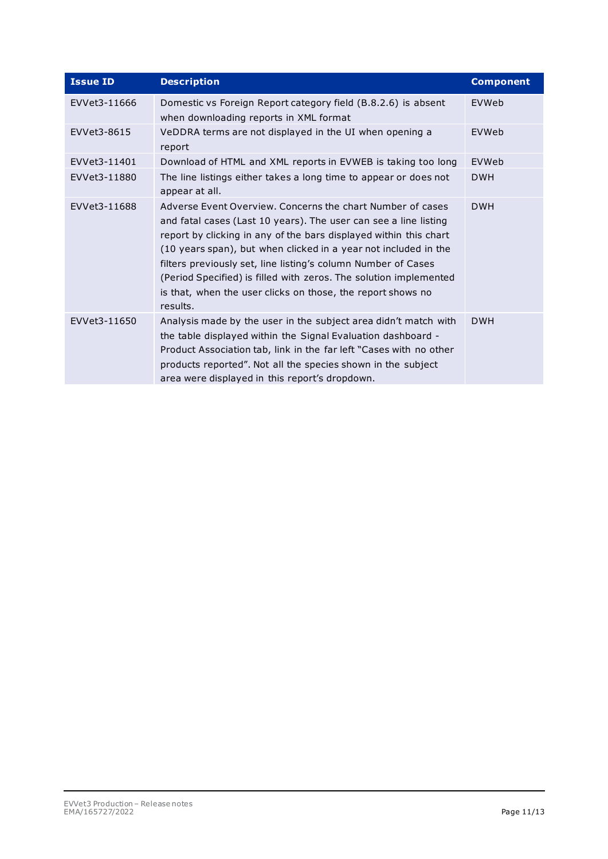| <b>Issue ID</b> | <b>Description</b>                                                                                                                                                                                                                                                                                                                                                                                                                                                                      | <b>Component</b> |
|-----------------|-----------------------------------------------------------------------------------------------------------------------------------------------------------------------------------------------------------------------------------------------------------------------------------------------------------------------------------------------------------------------------------------------------------------------------------------------------------------------------------------|------------------|
| EVVet3-11666    | Domestic vs Foreign Report category field (B.8.2.6) is absent<br>when downloading reports in XML format                                                                                                                                                                                                                                                                                                                                                                                 | EVWeb            |
| EVVet3-8615     | VeDDRA terms are not displayed in the UI when opening a<br>report                                                                                                                                                                                                                                                                                                                                                                                                                       | EVWeb            |
| EVVet3-11401    | Download of HTML and XML reports in EVWEB is taking too long                                                                                                                                                                                                                                                                                                                                                                                                                            | EVWeb            |
| EVVet3-11880    | The line listings either takes a long time to appear or does not<br>appear at all.                                                                                                                                                                                                                                                                                                                                                                                                      | <b>DWH</b>       |
| EVVet3-11688    | Adverse Event Overview, Concerns the chart Number of cases<br>and fatal cases (Last 10 years). The user can see a line listing<br>report by clicking in any of the bars displayed within this chart<br>(10 years span), but when clicked in a year not included in the<br>filters previously set, line listing's column Number of Cases<br>(Period Specified) is filled with zeros. The solution implemented<br>is that, when the user clicks on those, the report shows no<br>results. | <b>DWH</b>       |
| EVVet3-11650    | Analysis made by the user in the subject area didn't match with<br>the table displayed within the Signal Evaluation dashboard -<br>Product Association tab, link in the far left "Cases with no other<br>products reported". Not all the species shown in the subject<br>area were displayed in this report's dropdown.                                                                                                                                                                 | <b>DWH</b>       |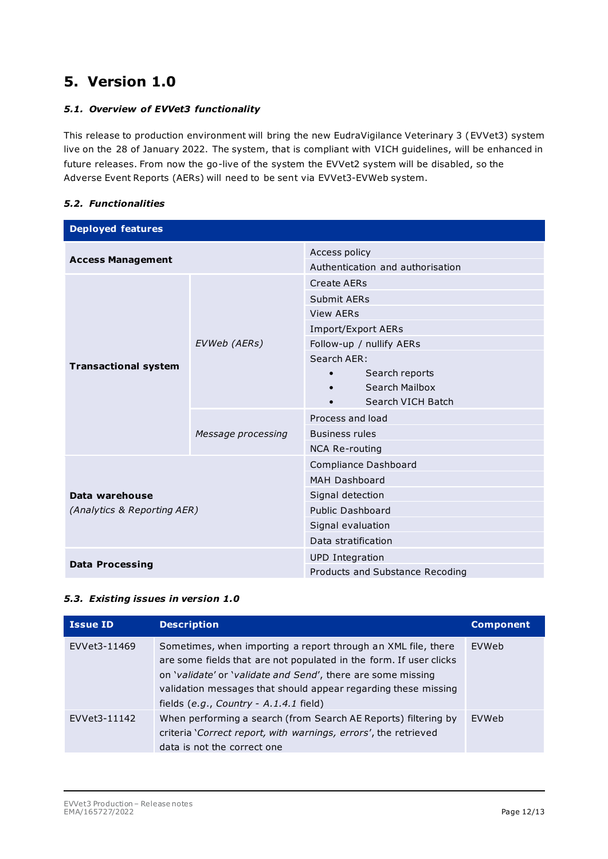## <span id="page-11-1"></span><span id="page-11-0"></span>*5.1. Overview of EVVet3 functionality*

This release to production environment will bring the new EudraVigilance Veterinary 3 (EVVet3) system live on the 28 of January 2022. The system, that is compliant with VICH guidelines, will be enhanced in future releases. From now the go-live of the system the EVVet2 system will be disabled, so the Adverse Event Reports (AERs) will need to be sent via EVVet3-EVWeb system.

## <span id="page-11-2"></span>*5.2. Functionalities*

| <b>Deployed features</b>    |                    |                                  |  |  |
|-----------------------------|--------------------|----------------------------------|--|--|
| <b>Access Management</b>    |                    | Access policy                    |  |  |
|                             |                    | Authentication and authorisation |  |  |
|                             |                    | <b>Create AERs</b>               |  |  |
|                             |                    | Submit AERs                      |  |  |
|                             |                    | <b>View AERs</b>                 |  |  |
|                             |                    | Import/Export AERs               |  |  |
|                             | EVWeb (AERs)       | Follow-up / nullify AERs         |  |  |
|                             |                    | Search AER:                      |  |  |
| <b>Transactional system</b> |                    | Search reports                   |  |  |
|                             |                    | Search Mailbox                   |  |  |
|                             |                    | Search VICH Batch<br>$\bullet$   |  |  |
|                             | Message processing | Process and load                 |  |  |
|                             |                    | <b>Business rules</b>            |  |  |
|                             |                    | <b>NCA Re-routing</b>            |  |  |
|                             |                    | Compliance Dashboard             |  |  |
|                             |                    | MAH Dashboard                    |  |  |
| Data warehouse              |                    | Signal detection                 |  |  |
| (Analytics & Reporting AER) |                    | <b>Public Dashboard</b>          |  |  |
|                             |                    | Signal evaluation                |  |  |
|                             |                    | Data stratification              |  |  |
| <b>Data Processing</b>      |                    | <b>UPD</b> Integration           |  |  |
|                             |                    | Products and Substance Recoding  |  |  |

### <span id="page-11-3"></span>*5.3. Existing issues in version 1.0*

| <b>Issue ID</b> | <b>Description</b>                                                                                                                                                                                                                                                                                                | <b>Component</b> |
|-----------------|-------------------------------------------------------------------------------------------------------------------------------------------------------------------------------------------------------------------------------------------------------------------------------------------------------------------|------------------|
| EVVet3-11469    | Sometimes, when importing a report through an XML file, there<br>are some fields that are not populated in the form. If user clicks<br>on 'validate' or 'validate and Send', there are some missing<br>validation messages that should appear regarding these missing<br>fields $(e.q., Country - A.1.4.1$ field) | EVWeb            |
| EVVet3-11142    | When performing a search (from Search AE Reports) filtering by<br>criteria 'Correct report, with warnings, errors', the retrieved<br>data is not the correct one                                                                                                                                                  | <b>FVWeb</b>     |